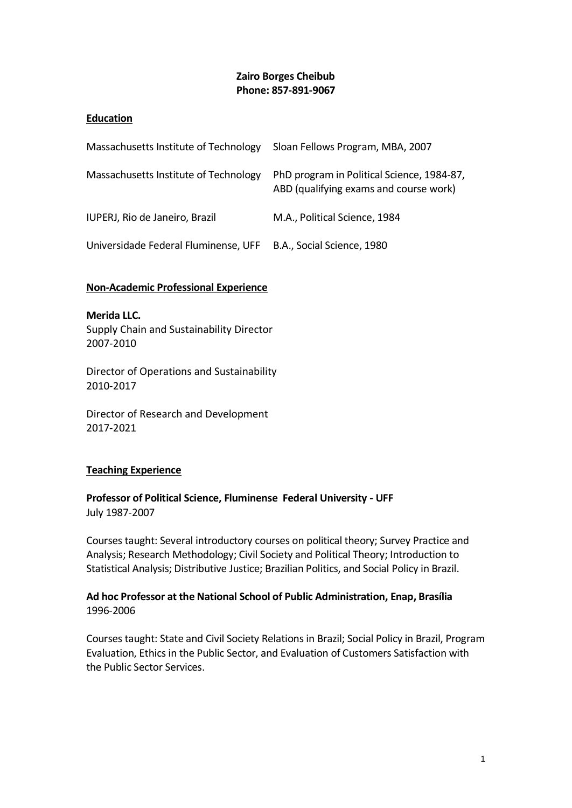### **Zairo Borges Cheibub Phone: 857-891-9067**

### **Education**

| Massachusetts Institute of Technology | Sloan Fellows Program, MBA, 2007                                                     |
|---------------------------------------|--------------------------------------------------------------------------------------|
| Massachusetts Institute of Technology | PhD program in Political Science, 1984-87,<br>ABD (qualifying exams and course work) |
| IUPERJ, Rio de Janeiro, Brazil        | M.A., Political Science, 1984                                                        |
| Universidade Federal Fluminense, UFF  | B.A., Social Science, 1980                                                           |

#### **Non-Academic Professional Experience**

**Merida LLC.**  Supply Chain and Sustainability Director 2007-2010

Director of Operations and Sustainability 2010-2017

Director of Research and Development 2017-2021

### **Teaching Experience**

**Professor of Political Science, Fluminense Federal University - UFF**  July 1987-2007

Courses taught: Several introductory courses on political theory; Survey Practice and Analysis; Research Methodology; Civil Society and Political Theory; Introduction to Statistical Analysis; Distributive Justice; Brazilian Politics, and Social Policy in Brazil.

### **Ad hoc Professor at the National School of Public Administration, Enap, Brasília** 1996-2006

Courses taught: State and Civil Society Relations in Brazil; Social Policy in Brazil, Program Evaluation, Ethics in the Public Sector, and Evaluation of Customers Satisfaction with the Public Sector Services.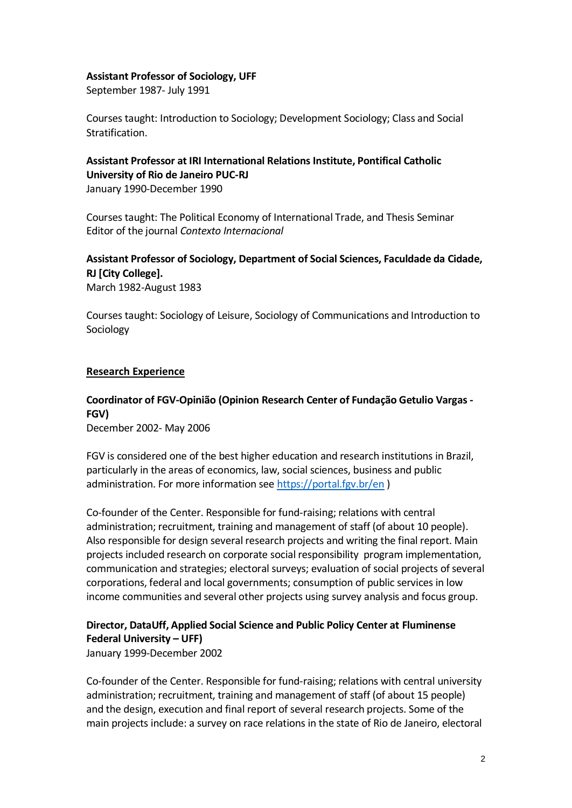#### **Assistant Professor of Sociology, UFF**

September 1987- July 1991

Courses taught: Introduction to Sociology; Development Sociology; Class and Social Stratification.

### **Assistant Professor at IRI International Relations Institute, Pontifical Catholic University of Rio de Janeiro PUC-RJ**

January 1990-December 1990

Courses taught: The Political Economy of International Trade, and Thesis Seminar Editor of the journal *Contexto Internacional*

# **Assistant Professor of Sociology, Department of Social Sciences, Faculdade da Cidade, RJ [City College].**

March 1982-August 1983

Courses taught: Sociology of Leisure, Sociology of Communications and Introduction to Sociology

### **Research Experience**

# **Coordinator of FGV-Opinião (Opinion Research Center of Fundação Getulio Vargas - FGV)**

December 2002- May 2006

FGV is considered one of the best higher education and research institutions in Brazil, particularly in the areas of economics, law, social sciences, business and public administration. For more information see<https://portal.fgv.br/en> )

Co-founder of the Center. Responsible for fund-raising; relations with central administration; recruitment, training and management of staff (of about 10 people). Also responsible for design several research projects and writing the final report. Main projects included research on corporate social responsibility program implementation, communication and strategies; electoral surveys; evaluation of social projects of several corporations, federal and local governments; consumption of public services in low income communities and several other projects using survey analysis and focus group.

# **Director, DataUff, Applied Social Science and Public Policy Center at Fluminense Federal University – UFF)**

January 1999-December 2002

Co-founder of the Center. Responsible for fund-raising; relations with central university administration; recruitment, training and management of staff (of about 15 people) and the design, execution and final report of several research projects. Some of the main projects include: a survey on race relations in the state of Rio de Janeiro, electoral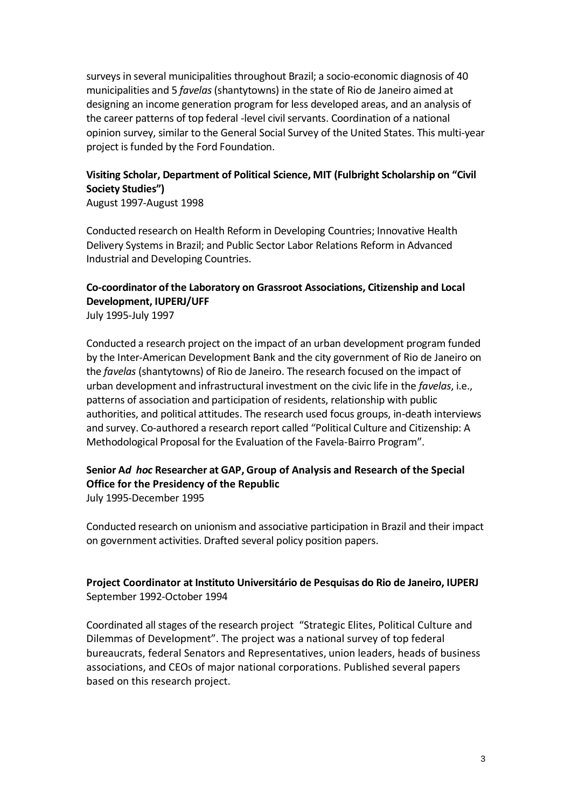surveys in several municipalities throughout Brazil; a socio-economic diagnosis of 40 municipalities and 5 *favelas* (shantytowns) in the state of Rio de Janeiro aimed at designing an income generation program for less developed areas, and an analysis of the career patterns of top federal -level civil servants. Coordination of a national opinion survey, similar to the General Social Survey of the United States. This multi-year project is funded by the Ford Foundation.

# **Visiting Scholar, Department of Political Science, MIT (Fulbright Scholarship on "Civil Society Studies")**

August 1997-August 1998

Conducted research on Health Reform in Developing Countries; Innovative Health Delivery Systems in Brazil; and Public Sector Labor Relations Reform in Advanced Industrial and Developing Countries.

# **Co-coordinator of the Laboratory on Grassroot Associations, Citizenship and Local Development, IUPERJ/UFF**

July 1995-July 1997

Conducted a research project on the impact of an urban development program funded by the Inter-American Development Bank and the city government of Rio de Janeiro on the *favelas* (shantytowns) of Rio de Janeiro. The research focused on the impact of urban development and infrastructural investment on the civic life in the *favelas*, i.e., patterns of association and participation of residents, relationship with public authorities, and political attitudes. The research used focus groups, in-death interviews and survey. Co-authored a research report called "Political Culture and Citizenship: A Methodological Proposal for the Evaluation of the Favela-Bairro Program".

# **Senior A***d hoc* **Researcher at GAP, Group of Analysis and Research of the Special Office for the Presidency of the Republic**

July 1995-December 1995

Conducted research on unionism and associative participation in Brazil and their impact on government activities. Drafted several policy position papers.

### **Project Coordinator at Instituto Universitário de Pesquisas do Rio de Janeiro, IUPERJ** September 1992-October 1994

Coordinated all stages of the research project "Strategic Elites, Political Culture and Dilemmas of Development". The project was a national survey of top federal bureaucrats, federal Senators and Representatives, union leaders, heads of business associations, and CEOs of major national corporations. Published several papers based on this research project.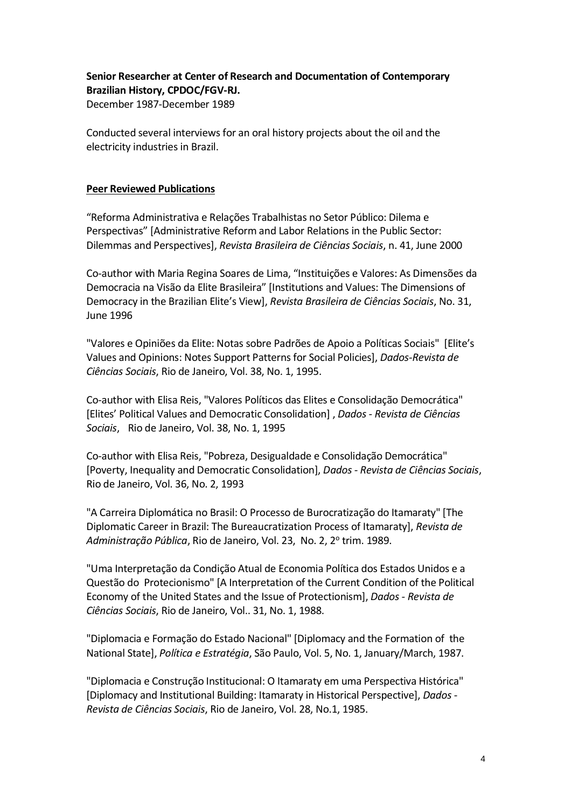## **Senior Researcher at Center of Research and Documentation of Contemporary Brazilian History, CPDOC/FGV-RJ.**

December 1987-December 1989

Conducted several interviews for an oral history projects about the oil and the electricity industries in Brazil.

### **Peer Reviewed Publications**

"Reforma Administrativa e Relações Trabalhistas no Setor Público: Dilema e Perspectivas" [Administrative Reform and Labor Relations in the Public Sector: Dilemmas and Perspectives], *Revista Brasileira de Ciências Sociais*, n. 41, June 2000

Co-author with Maria Regina Soares de Lima, "Instituições e Valores: As Dimensões da Democracia na Visão da Elite Brasileira" [Institutions and Values: The Dimensions of Democracy in the Brazilian Elite's View], *Revista Brasileira de Ciências Sociais*, No. 31, June 1996

"Valores e Opiniões da Elite: Notas sobre Padrões de Apoio a Políticas Sociais" [Elite's Values and Opinions: Notes Support Patterns for Social Policies], *Dados-Revista de Ciências Sociais*, Rio de Janeiro, Vol. 38, No. 1, 1995.

Co-author with Elisa Reis, "Valores Políticos das Elites e Consolidação Democrática" [Elites' Political Values and Democratic Consolidation] , *Dados - Revista de Ciências Sociais*, Rio de Janeiro, Vol. 38, No. 1, 1995

Co-author with Elisa Reis, "Pobreza, Desigualdade e Consolidação Democrática" [Poverty, Inequality and Democratic Consolidation], *Dados - Revista de Ciências Sociais*, Rio de Janeiro, Vol. 36, No. 2, 1993

"A Carreira Diplomática no Brasil: O Processo de Burocratização do Itamaraty" [The Diplomatic Career in Brazil: The Bureaucratization Process of Itamaraty], *Revista de*  Administração Pública, Rio de Janeiro, Vol. 23, No. 2, 2º trim. 1989.

"Uma Interpretação da Condição Atual de Economia Política dos Estados Unidos e a Questão do Protecionismo" [A Interpretation of the Current Condition of the Political Economy of the United States and the Issue of Protectionism], *Dados - Revista de Ciências Sociais*, Rio de Janeiro, Vol.. 31, No. 1, 1988.

"Diplomacia e Formação do Estado Nacional" [Diplomacy and the Formation of the National State], *Política e Estratégia*, São Paulo, Vol. 5, No. 1, January/March, 1987.

"Diplomacia e Construção Institucional: O Itamaraty em uma Perspectiva Histórica" [Diplomacy and Institutional Building: Itamaraty in Historical Perspective], *Dados - Revista de Ciências Sociais*, Rio de Janeiro, Vol. 28, No.1, 1985.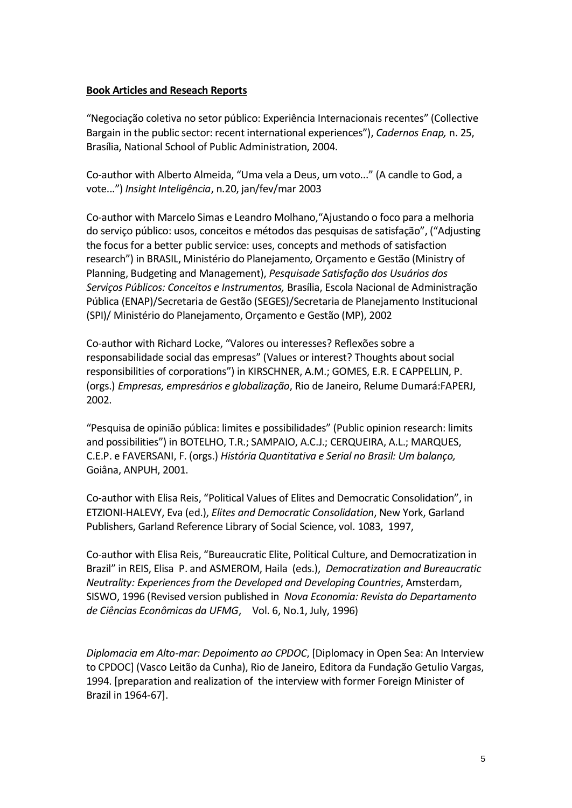#### **Book Articles and Reseach Reports**

"Negociação coletiva no setor público: Experiência Internacionais recentes" (Collective Bargain in the public sector: recent international experiences"), *Cadernos Enap,* n. 25, Brasília, National School of Public Administration, 2004.

Co-author with Alberto Almeida, "Uma vela a Deus, um voto..." (A candle to God, a vote...") *Insight Inteligência*, n.20, jan/fev/mar 2003

Co-author with Marcelo Simas e Leandro Molhano,"Ajustando o foco para a melhoria do serviço público: usos, conceitos e métodos das pesquisas de satisfação", ("Adjusting the focus for a better public service: uses, concepts and methods of satisfaction research") in BRASIL, Ministério do Planejamento, Orçamento e Gestão (Ministry of Planning, Budgeting and Management), *Pesquisade Satisfação dos Usuários dos Serviços Públicos: Conceitos e Instrumentos,* Brasília, Escola Nacional de Administração Pública (ENAP)/Secretaria de Gestão (SEGES)/Secretaria de Planejamento Institucional (SPI)/ Ministério do Planejamento, Orçamento e Gestão (MP), 2002

Co-author with Richard Locke, "Valores ou interesses? Reflexões sobre a responsabilidade social das empresas" (Values or interest? Thoughts about social responsibilities of corporations") in KIRSCHNER, A.M.; GOMES, E.R. E CAPPELLIN, P. (orgs.) *Empresas, empresários e globalização*, Rio de Janeiro, Relume Dumará:FAPERJ, 2002.

"Pesquisa de opinião pública: limites e possibilidades" (Public opinion research: limits and possibilities") in BOTELHO, T.R.; SAMPAIO, A.C.J.; CERQUEIRA, A.L.; MARQUES, C.E.P. e FAVERSANI, F. (orgs.) *História Quantitativa e Serial no Brasil: Um balanço,* Goiâna, ANPUH, 2001.

Co-author with Elisa Reis, "Political Values of Elites and Democratic Consolidation", in ETZIONI-HALEVY, Eva (ed.), *Elites and Democratic Consolidation*, New York, Garland Publishers, Garland Reference Library of Social Science, vol. 1083, 1997,

Co-author with Elisa Reis, "Bureaucratic Elite, Political Culture, and Democratization in Brazil" in REIS, Elisa P. and ASMEROM, Haila (eds.), *Democratization and Bureaucratic Neutrality: Experiences from the Developed and Developing Countries*, Amsterdam, SISWO, 1996 (Revised version published in *Nova Economia: Revista do Departamento de Ciências Econômicas da UFMG*, Vol. 6, No.1, July, 1996)

*Diplomacia em Alto-mar: Depoimento ao CPDOC*, [Diplomacy in Open Sea: An Interview to CPDOC] (Vasco Leitão da Cunha), Rio de Janeiro, Editora da Fundação Getulio Vargas, 1994. [preparation and realization of the interview with former Foreign Minister of Brazil in 1964-67].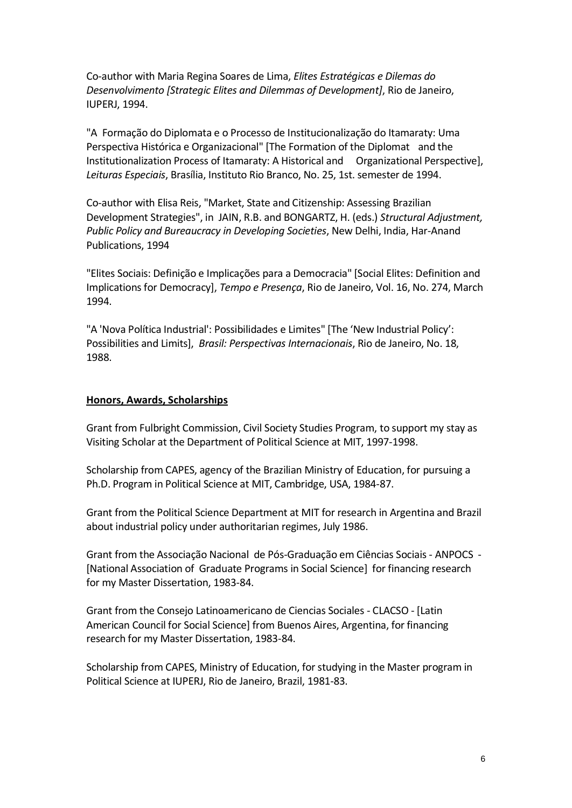Co-author with Maria Regina Soares de Lima, *Elites Estratégicas e Dilemas do Desenvolvimento [Strategic Elites and Dilemmas of Development]*, Rio de Janeiro, IUPERJ, 1994.

"A Formação do Diplomata e o Processo de Institucionalização do Itamaraty: Uma Perspectiva Histórica e Organizacional" [The Formation of the Diplomat and the Institutionalization Process of Itamaraty: A Historical and Organizational Perspective], *Leituras Especiais*, Brasília, Instituto Rio Branco, No. 25, 1st. semester de 1994.

Co-author with Elisa Reis, "Market, State and Citizenship: Assessing Brazilian Development Strategies", in JAIN, R.B. and BONGARTZ, H. (eds.) *Structural Adjustment, Public Policy and Bureaucracy in Developing Societies*, New Delhi, India, Har-Anand Publications, 1994

"Elites Sociais: Definição e Implicações para a Democracia" [Social Elites: Definition and Implications for Democracy], *Tempo e Presença*, Rio de Janeiro, Vol. 16, No. 274, March 1994.

"A 'Nova Política Industrial': Possibilidades e Limites" [The 'New Industrial Policy': Possibilities and Limits], *Brasil: Perspectivas Internacionais*, Rio de Janeiro, No. 18, 1988.

#### **Honors, Awards, Scholarships**

Grant from Fulbright Commission, Civil Society Studies Program, to support my stay as Visiting Scholar at the Department of Political Science at MIT, 1997-1998.

Scholarship from CAPES, agency of the Brazilian Ministry of Education, for pursuing a Ph.D. Program in Political Science at MIT, Cambridge, USA, 1984-87.

Grant from the Political Science Department at MIT for research in Argentina and Brazil about industrial policy under authoritarian regimes, July 1986.

Grant from the Associação Nacional de Pós-Graduação em Ciências Sociais - ANPOCS - [National Association of Graduate Programs in Social Science] for financing research for my Master Dissertation, 1983-84.

Grant from the Consejo Latinoamericano de Ciencias Sociales - CLACSO - [Latin American Council for Social Science] from Buenos Aires, Argentina, for financing research for my Master Dissertation, 1983-84.

Scholarship from CAPES, Ministry of Education, for studying in the Master program in Political Science at IUPERJ, Rio de Janeiro, Brazil, 1981-83.